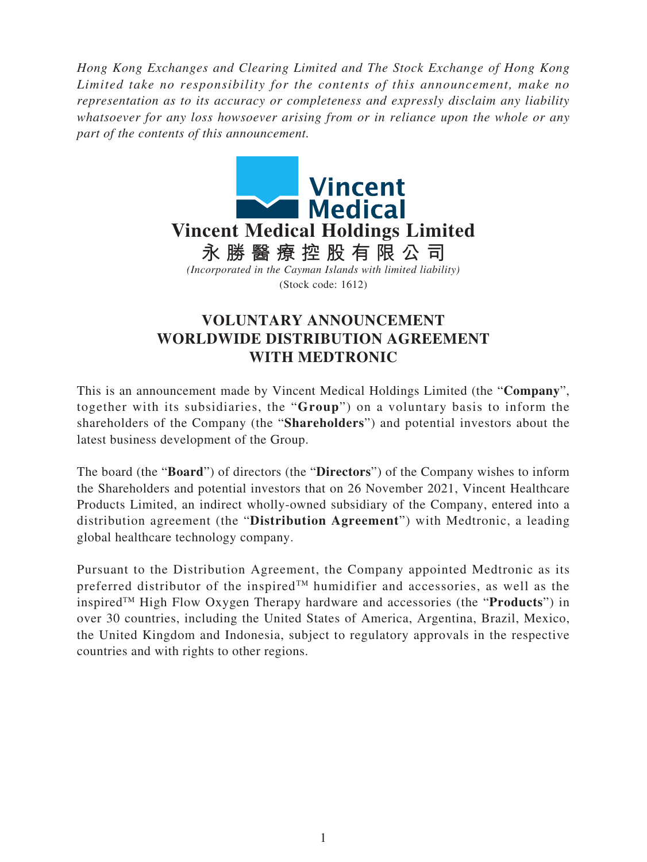*Hong Kong Exchanges and Clearing Limited and The Stock Exchange of Hong Kong Limited take no responsibility for the contents of this announcement, make no representation as to its accuracy or completeness and expressly disclaim any liability whatsoever for any loss howsoever arising from or in reliance upon the whole or any part of the contents of this announcement.*



## **VOLUNTARY ANNOUNCEMENT WORLDWIDE DISTRIBUTION AGREEMENT WITH MEDTRONIC**

This is an announcement made by Vincent Medical Holdings Limited (the "**Company**", together with its subsidiaries, the "**Group**") on a voluntary basis to inform the shareholders of the Company (the "**Shareholders**") and potential investors about the latest business development of the Group.

The board (the "**Board**") of directors (the "**Directors**") of the Company wishes to inform the Shareholders and potential investors that on 26 November 2021, Vincent Healthcare Products Limited, an indirect wholly-owned subsidiary of the Company, entered into a distribution agreement (the "**Distribution Agreement**") with Medtronic, a leading global healthcare technology company.

Pursuant to the Distribution Agreement, the Company appointed Medtronic as its preferred distributor of the inspired<sup>TM</sup> humidifier and accessories, as well as the inspiredTM High Flow Oxygen Therapy hardware and accessories (the "**Products**") in over 30 countries, including the United States of America, Argentina, Brazil, Mexico, the United Kingdom and Indonesia, subject to regulatory approvals in the respective countries and with rights to other regions.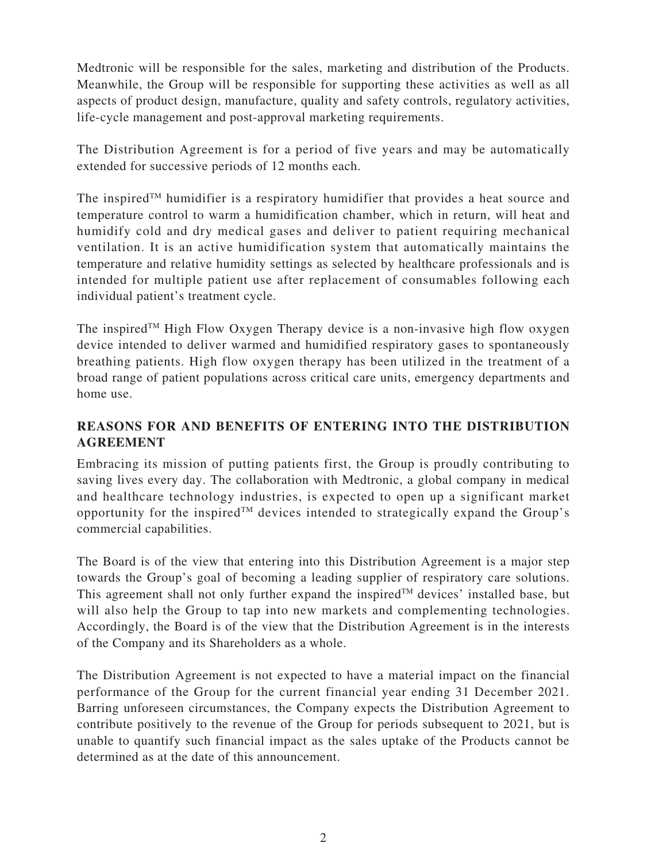Medtronic will be responsible for the sales, marketing and distribution of the Products. Meanwhile, the Group will be responsible for supporting these activities as well as all aspects of product design, manufacture, quality and safety controls, regulatory activities, life-cycle management and post-approval marketing requirements.

The Distribution Agreement is for a period of five years and may be automatically extended for successive periods of 12 months each.

The inspired<sup>TM</sup> humidifier is a respiratory humidifier that provides a heat source and temperature control to warm a humidification chamber, which in return, will heat and humidify cold and dry medical gases and deliver to patient requiring mechanical ventilation. It is an active humidification system that automatically maintains the temperature and relative humidity settings as selected by healthcare professionals and is intended for multiple patient use after replacement of consumables following each individual patient's treatment cycle.

The inspired<sup>TM</sup> High Flow Oxygen Therapy device is a non-invasive high flow oxygen device intended to deliver warmed and humidified respiratory gases to spontaneously breathing patients. High flow oxygen therapy has been utilized in the treatment of a broad range of patient populations across critical care units, emergency departments and home use.

## **REASONS FOR AND BENEFITS OF ENTERING INTO THE DISTRIBUTION AGREEMENT**

Embracing its mission of putting patients first, the Group is proudly contributing to saving lives every day. The collaboration with Medtronic, a global company in medical and healthcare technology industries, is expected to open up a significant market opportunity for the inspired<sup> $TM$ </sup> devices intended to strategically expand the Group's commercial capabilities.

The Board is of the view that entering into this Distribution Agreement is a major step towards the Group's goal of becoming a leading supplier of respiratory care solutions. This agreement shall not only further expand the inspired  $T<sup>M</sup>$  devices' installed base, but will also help the Group to tap into new markets and complementing technologies. Accordingly, the Board is of the view that the Distribution Agreement is in the interests of the Company and its Shareholders as a whole.

The Distribution Agreement is not expected to have a material impact on the financial performance of the Group for the current financial year ending 31 December 2021. Barring unforeseen circumstances, the Company expects the Distribution Agreement to contribute positively to the revenue of the Group for periods subsequent to 2021, but is unable to quantify such financial impact as the sales uptake of the Products cannot be determined as at the date of this announcement.